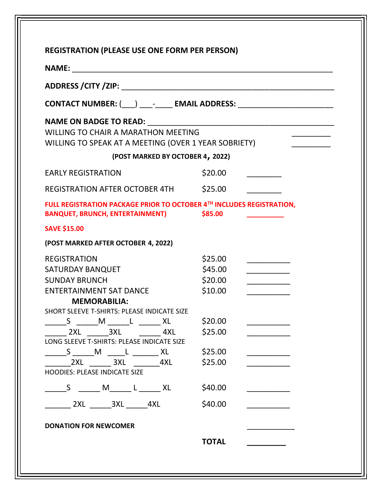| CONTACT NUMBER: (___) ____-_____ EMAIL ADDRESS: ___________________________                                      |              |  |  |
|------------------------------------------------------------------------------------------------------------------|--------------|--|--|
| WILLING TO CHAIR A MARATHON MEETING<br>WILLING TO SPEAK AT A MEETING (OVER 1 YEAR SOBRIETY)                      |              |  |  |
| (POST MARKED BY OCTOBER 4, 2022)                                                                                 |              |  |  |
| <b>EARLY REGISTRATION</b>                                                                                        | \$20.00      |  |  |
| REGISTRATION AFTER OCTOBER 4TH \$25.00                                                                           |              |  |  |
| FULL REGISTRATION PACKAGE PRIOR TO OCTOBER 4TH INCLUDES REGISTRATION,<br>BANQUET, BRUNCH, ENTERTAINMENT) \$85.00 |              |  |  |
| <b>SAVE \$15.00</b>                                                                                              |              |  |  |
| (POST MARKED AFTER OCTOBER 4, 2022)                                                                              |              |  |  |
| <b>REGISTRATION</b>                                                                                              | \$25.00      |  |  |
| SATURDAY BANQUET                                                                                                 | \$45.00      |  |  |
| <b>SUNDAY BRUNCH</b>                                                                                             | \$20.00      |  |  |
| <b>ENTERTAINMENT SAT DANCE</b>                                                                                   | \$10.00      |  |  |
| <b>MEMORABILIA:</b>                                                                                              |              |  |  |
| SHORT SLEEVE T-SHIRTS: PLEASE INDICATE SIZE                                                                      |              |  |  |
|                                                                                                                  | \$20.00      |  |  |
| 2XL 3XL 4XL<br>LONG SLEEVE T-SHIRTS: PLEASE INDICATE SIZE                                                        | \$25.00      |  |  |
| ________S _______M ______L _________ XL                                                                          | \$25.00      |  |  |
|                                                                                                                  | \$25.00      |  |  |
| <b>HOODIES: PLEASE INDICATE SIZE</b>                                                                             |              |  |  |
| _______S _______ M_______ L _______ XL                                                                           | \$40.00      |  |  |
| 2XL 3XL 4XL                                                                                                      | \$40.00      |  |  |
| <b>DONATION FOR NEWCOMER</b>                                                                                     |              |  |  |
|                                                                                                                  |              |  |  |
|                                                                                                                  | <b>TOTAL</b> |  |  |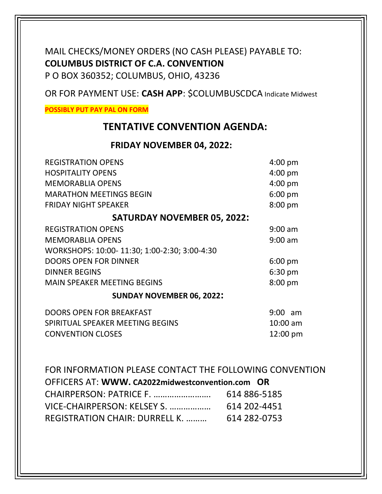### MAIL CHECKS/MONEY ORDERS (NO CASH PLEASE) PAYABLE TO: COLUMBUS DISTRICT OF C.A. CONVENTION P O BOX 360352; COLUMBUS, OHIO, 43236

OR FOR PAYMENT USE: CASH APP: \$COLUMBUSCDCA Indicate Midwest

POSSIBLY PUT PAY PAL ON FORM

### TENTATIVE CONVENTION AGENDA:

#### FRIDAY NOVEMBER 04, 2022:

| <b>REGISTRATION OPENS</b>                    | $4:00$ pm  |  |
|----------------------------------------------|------------|--|
| <b>HOSPITALITY OPENS</b>                     | $4:00$ pm  |  |
| <b>MEMORABLIA OPENS</b>                      | $4:00$ pm  |  |
| <b>MARATHON MEETINGS BEGIN</b>               | 6:00 pm    |  |
| <b>FRIDAY NIGHT SPEAKER</b>                  | 8:00 pm    |  |
| <b>SATURDAY NOVEMBER 05, 2022:</b>           |            |  |
| <b>REGISTRATION OPENS</b>                    | $9:00$ am  |  |
| <b>MEMORABLIA OPENS</b>                      | $9:00$ am  |  |
| WORKSHOPS: 10:00-11:30; 1:00-2:30; 3:00-4:30 |            |  |
| <b>DOORS OPEN FOR DINNER</b>                 | $6:00$ pm  |  |
| <b>DINNER BEGINS</b>                         | $6:30$ pm  |  |
| <b>MAIN SPEAKER MEETING BEGINS</b>           | $8:00$ pm  |  |
| <b>SUNDAY NOVEMBER 06, 2022:</b>             |            |  |
| <b>DOORS OPEN FOR BREAKFAST</b>              | 9:00<br>am |  |
| SPIRITUAL SPEAKER MEETING BEGINS             | 10:00 am   |  |

CONVENTION CLOSES 12:00 pm

FOR INFORMATION PLEASE CONTACT THE FOLLOWING CONVENTION OFFICERS AT: WWW. CA2022midwestconvention.com OR CHAIRPERSON: PATRICE F. ……………………. 614 886-5185 VICE-CHAIRPERSON: KELSEY S. ……………… 614 202-4451 REGISTRATION CHAIR: DURRELL K. ……… 614 282-0753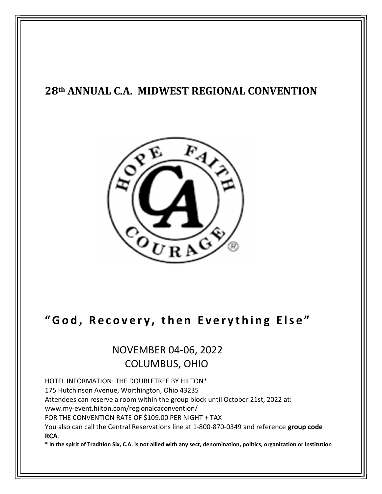## 28th ANNUAL C.A. MIDWEST REGIONAL CONVENTION



# " God, Recovery, then Everything Else"

## NOVEMBER 04-06, 2022 COLUMBUS, OHIO

HOTEL INFORMATION: THE DOUBLETREE BY HILTON\*

175 Hutchinson Avenue, Worthington, Ohio 43235

Attendees can reserve a room within the group block until October 21st, 2022 at:

www.my-event.hilton.com/regionalcaconvention/

FOR THE CONVENTION RATE OF \$109.00 PER NIGHT + TAX

You also can call the Central Reservations line at 1-800-870-0349 and reference group code RCA.

\* In the spirit of Tradition Six, C.A. is not allied with any sect, denomination, politics, organization or institution